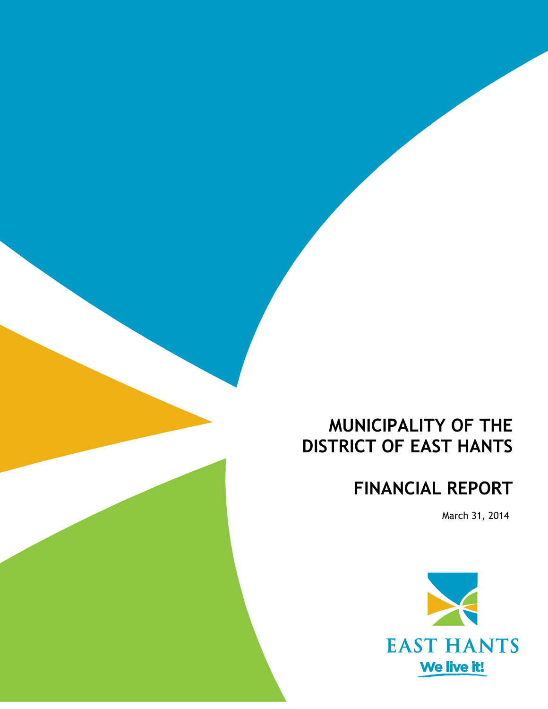# **MUNICIPALITY OF THE DISTRICT OF EAST HANTS**

# **FINANCIAL REPORT**

March 31, 2014

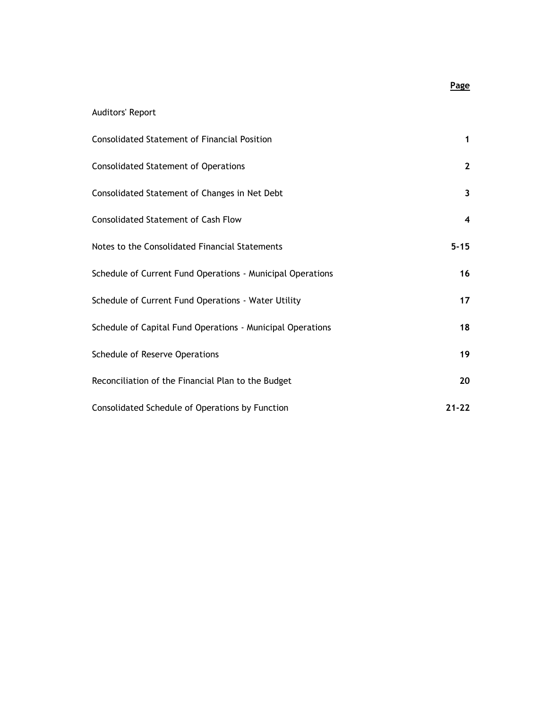#### Auditors' Report

| <b>Consolidated Statement of Financial Position</b>        | 1            |
|------------------------------------------------------------|--------------|
| <b>Consolidated Statement of Operations</b>                | $\mathbf{2}$ |
| Consolidated Statement of Changes in Net Debt              | $\mathbf{3}$ |
| <b>Consolidated Statement of Cash Flow</b>                 | 4            |
| Notes to the Consolidated Financial Statements             | $5 - 15$     |
| Schedule of Current Fund Operations - Municipal Operations | 16           |
| Schedule of Current Fund Operations - Water Utility        | 17           |
| Schedule of Capital Fund Operations - Municipal Operations | 18           |
| Schedule of Reserve Operations                             | 19           |
| Reconciliation of the Financial Plan to the Budget         | 20           |
| Consolidated Schedule of Operations by Function            | $21 - 22$    |

#### **Page**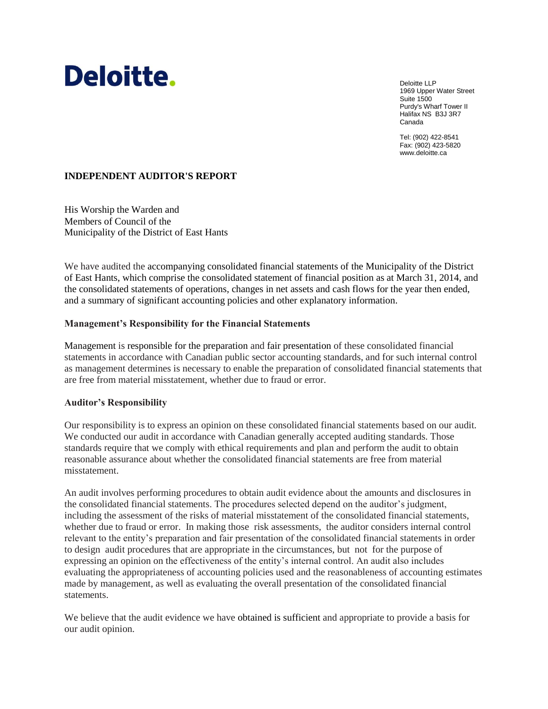# Deloitte.

Deloitte LLP 1969 Upper Water Street Suite 1500 Purdy's Wharf Tower II Halifax NS B3J 3R7 Canada

Tel: (902) 422-8541 Fax: (902) 423-5820 www.deloitte.ca

#### **INDEPENDENT AUDITOR'S REPORT**

His Worship the Warden and Members of Council of the Municipality of the District of East Hants

We have audited the accompanying consolidated financial statements of the Municipality of the District of East Hants, which comprise the consolidated statement of financial position as at March 31, 2014, and the consolidated statements of operations, changes in net assets and cash flows for the year then ended, and a summary of significant accounting policies and other explanatory information.

#### **Management's Responsibility for the Financial Statements**

Management is responsible for the preparation and fair presentation of these consolidated financial statements in accordance with Canadian public sector accounting standards, and for such internal control as management determines is necessary to enable the preparation of consolidated financial statements that are free from material misstatement, whether due to fraud or error.

#### **Auditor's Responsibility**

Our responsibility is to express an opinion on these consolidated financial statements based on our audit. We conducted our audit in accordance with Canadian generally accepted auditing standards. Those standards require that we comply with ethical requirements and plan and perform the audit to obtain reasonable assurance about whether the consolidated financial statements are free from material misstatement.

An audit involves performing procedures to obtain audit evidence about the amounts and disclosures in the consolidated financial statements. The procedures selected depend on the auditor's judgment, including the assessment of the risks of material misstatement of the consolidated financial statements, whether due to fraud or error. In making those risk assessments, the auditor considers internal control relevant to the entity's preparation and fair presentation of the consolidated financial statements in order to design audit procedures that are appropriate in the circumstances, but not for the purpose of expressing an opinion on the effectiveness of the entity's internal control. An audit also includes evaluating the appropriateness of accounting policies used and the reasonableness of accounting estimates made by management, as well as evaluating the overall presentation of the consolidated financial statements.

We believe that the audit evidence we have obtained is sufficient and appropriate to provide a basis for our audit opinion.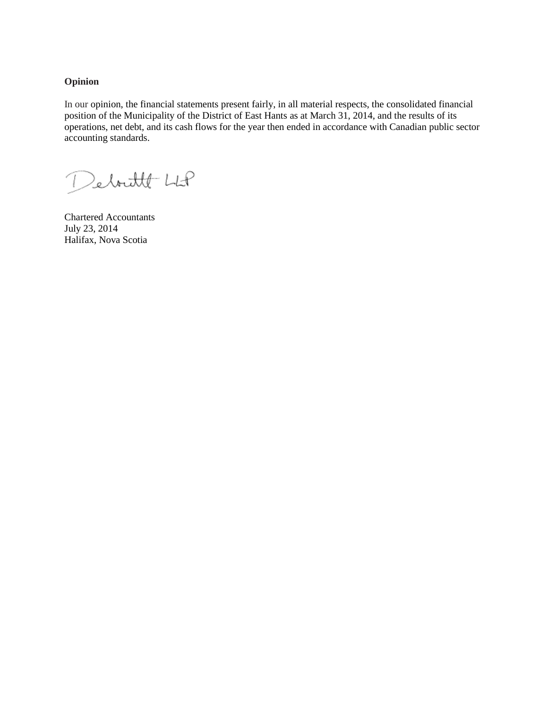**Opinion**

In our opinion, the financial statements present fairly, in all material respects, the consolidated financial position of the Municipality of the District of East Hants as at March 31, 2014, and the results of its operations, net debt, and its cash flows for the year then ended in accordance with Canadian public sector accounting standards.

Deboutter LLP

Chartered Accountants July 23, 2014 Halifax, Nova Scotia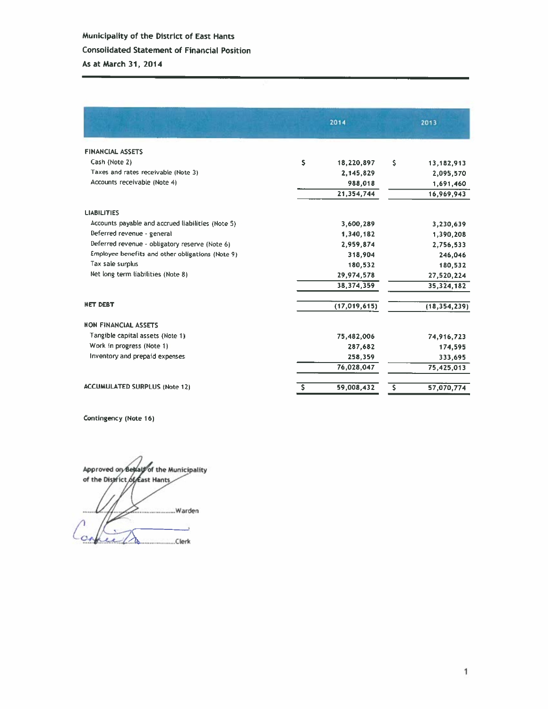|                                                   |    | 2014           |    | 2013           |
|---------------------------------------------------|----|----------------|----|----------------|
| <b>FINANCIAL ASSETS</b>                           |    |                |    |                |
| Cash (Note 2)                                     | \$ | 18,220,897     | \$ | 13,182,913     |
| Taxes and rates receivable (Note 3)               |    | 2,145,829      |    | 2,095,570      |
| Accounts receivable (Note 4)                      |    | 988,018        |    | 1,691,460      |
|                                                   |    | 21,354,744     |    | 16,969,943     |
| <b>LIABILITIES</b>                                |    |                |    |                |
| Accounts payable and accrued liabilities (Note 5) |    | 3,600,289      |    | 3,230,639      |
| Deferred revenue - general                        |    | 1,340,182      |    | 1,390,208      |
| Deferred revenue - obligatory reserve (Note 6)    |    | 2.959.874      |    | 2,756,533      |
| Employee benefits and other obligations (Note 9)  |    | 318,904        |    | 246,046        |
| Tax sale surplus                                  |    | 180,532        |    | 180,532        |
| Net long term liabilities (Note 8)                |    | 29,974,578     |    | 27,520,224     |
|                                                   |    | 38,374,359     |    | 35,324,182     |
| <b>NET DEBT</b>                                   |    | (17, 019, 615) |    | (18, 354, 239) |
| <b>NON FINANCIAL ASSETS</b>                       |    |                |    |                |
| Tangible capital assets (Note 1)                  |    | 75,482,006     |    | 74,916,723     |
| Work in progress (Note 1)                         |    | 287,682        |    | 174,595        |
| Inventory and prepaid expenses                    |    | 258,359        |    | 333,695        |
|                                                   |    | 76,028,047     |    | 75,425,013     |
| <b>ACCUMULATED SURPLUS (Note 12)</b>              | s  | 59,008,432     | s  | 57,070,774     |

Contingency (Note 16)

Approved on Beway of the Municipality<br>of the District of east Hants .Warden  $\lambda$ copiech ...Clerk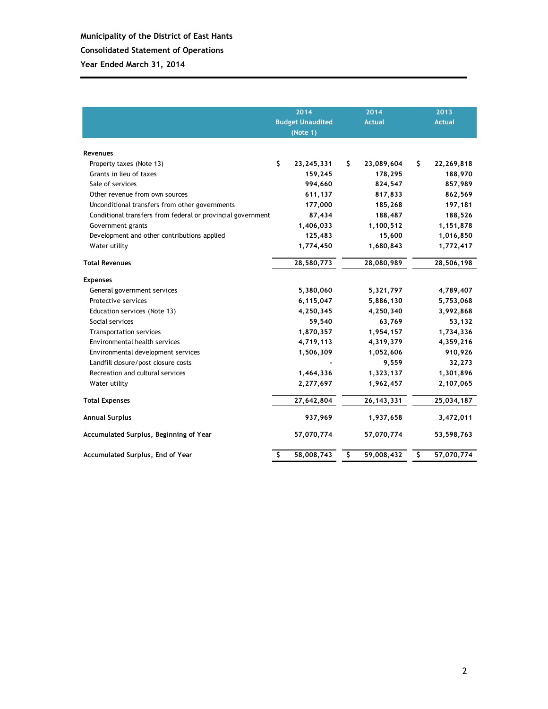### **Municipality of the District of East Hants Consolidated Statement of Operations Year Ended March 31, 2014**

|                                                             | 2014<br>2014<br><b>Budget Unaudited</b><br><b>Actual</b><br>(Note 1) |              |    |              | 2013             |
|-------------------------------------------------------------|----------------------------------------------------------------------|--------------|----|--------------|------------------|
|                                                             |                                                                      |              |    |              | <b>Actual</b>    |
|                                                             |                                                                      |              |    |              |                  |
| Revenues                                                    |                                                                      |              |    |              |                  |
| Property taxes (Note 13)                                    | \$                                                                   | 23, 245, 331 | S. | 23,089,604   | \$<br>22,269,818 |
| Grants in lieu of taxes                                     |                                                                      | 159,245      |    | 178,295      | 188,970          |
| Sale of services                                            |                                                                      | 994,660      |    | 824,547      | 857,989          |
| Other revenue from own sources                              |                                                                      | 611,137      |    | 817,833      | 862,569          |
| Unconditional transfers from other governments              |                                                                      | 177,000      |    | 185,268      | 197,181          |
| Conditional transfers from federal or provincial government |                                                                      | 87,434       |    | 188,487      | 188,526          |
| Government grants                                           |                                                                      | 1,406,033    |    | 1,100,512    | 1,151,878        |
| Development and other contributions applied                 |                                                                      | 125,483      |    | 15,600       | 1,016,850        |
| Water utility                                               |                                                                      | 1,774,450    |    | 1,680,843    | 1,772,417        |
| <b>Total Revenues</b>                                       |                                                                      | 28,580,773   |    | 28,080,989   | 28,506,198       |
| <b>Expenses</b>                                             |                                                                      |              |    |              |                  |
| General government services                                 |                                                                      | 5,380,060    |    | 5,321,797    | 4,789,407        |
| Protective services                                         |                                                                      | 6,115,047    |    | 5,886,130    | 5,753,068        |
| Education services (Note 13)                                |                                                                      | 4,250,345    |    | 4,250,340    | 3,992,868        |
| Social services                                             |                                                                      | 59,540       |    | 63,769       | 53,132           |
| Transportation services                                     |                                                                      | 1,870,357    |    | 1,954,157    | 1,734,336        |
| Environmental health services                               |                                                                      | 4,719,113    |    | 4,319,379    | 4,359,216        |
| Environmental development services                          |                                                                      | 1,506,309    |    | 1,052,606    | 910,926          |
| Landfill closure/post closure costs                         |                                                                      |              |    | 9,559        | 32,273           |
| Recreation and cultural services                            |                                                                      | 1,464,336    |    | 1,323,137    | 1,301,896        |
| Water utility                                               |                                                                      | 2,277,697    |    | 1,962,457    | 2,107,065        |
| <b>Total Expenses</b>                                       |                                                                      | 27,642,804   |    | 26, 143, 331 | 25,034,187       |
| <b>Annual Surplus</b>                                       |                                                                      | 937,969      |    | 1,937,658    | 3,472,011        |
| Accumulated Surplus, Beginning of Year                      |                                                                      | 57,070,774   |    | 57,070,774   | 53,598,763       |
| Accumulated Surplus, End of Year                            | \$                                                                   | 58,008,743   | \$ | 59,008,432   | \$<br>57,070,774 |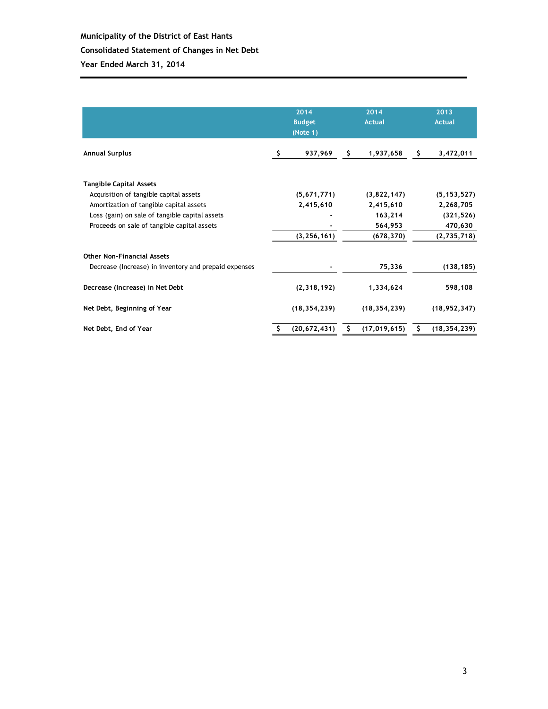|                                                       |   |                | 2014<br>2014<br><b>Budget</b><br><b>Actual</b><br>(Note 1) |                |     | 2013<br><b>Actual</b> |
|-------------------------------------------------------|---|----------------|------------------------------------------------------------|----------------|-----|-----------------------|
| <b>Annual Surplus</b>                                 | s | 937,969        | S.                                                         | 1,937,658      | \$. | 3,472,011             |
| <b>Tangible Capital Assets</b>                        |   |                |                                                            |                |     |                       |
| Acquisition of tangible capital assets                |   | (5,671,771)    |                                                            | (3,822,147)    |     | (5, 153, 527)         |
| Amortization of tangible capital assets               |   | 2,415,610      |                                                            | 2,415,610      |     | 2,268,705             |
| Loss (gain) on sale of tangible capital assets        |   |                |                                                            | 163,214        |     | (321, 526)            |
| Proceeds on sale of tangible capital assets           |   |                |                                                            | 564,953        |     | 470,630               |
|                                                       |   | (3, 256, 161)  |                                                            | (678, 370)     |     | (2,735,718)           |
| <b>Other Non-Financial Assets</b>                     |   |                |                                                            |                |     |                       |
| Decrease (Increase) in inventory and prepaid expenses |   |                |                                                            | 75,336         |     | (138, 185)            |
| Decrease (Increase) in Net Debt                       |   | (2,318,192)    |                                                            | 1,334,624      |     | 598,108               |
| Net Debt, Beginning of Year                           |   | (18, 354, 239) |                                                            | (18, 354, 239) |     | (18, 952, 347)        |
| Net Debt, End of Year                                 |   | (20, 672, 431) | s                                                          | (17, 019, 615) |     | (18, 354, 239)        |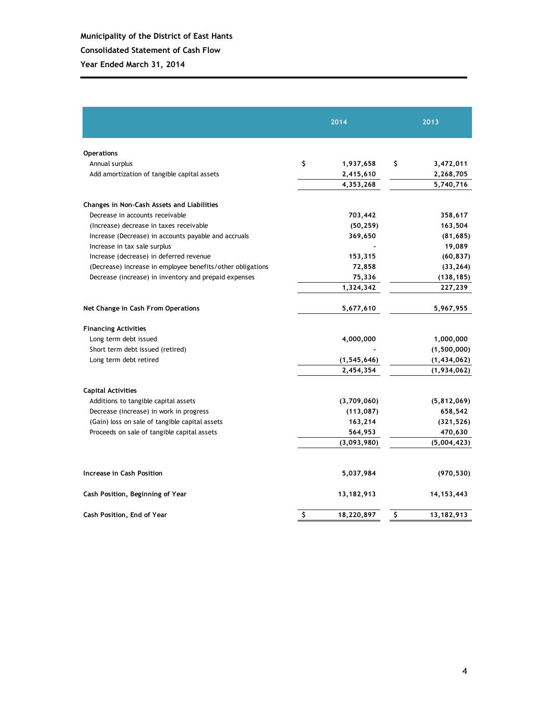|                                                            | 2014             | 2013             |
|------------------------------------------------------------|------------------|------------------|
| <b>Operations</b>                                          |                  |                  |
| Annual surplus                                             | \$<br>1,937,658  | \$<br>3,472,011  |
| Add amortization of tangible capital assets                | 2,415,610        | 2,268,705        |
|                                                            | 4,353,268        | 5,740,716        |
| Changes in Non-Cash Assets and Liabilities                 |                  |                  |
| Decrease in accounts receivable                            | 703,442          | 358,617          |
| (Increase) decrease in taxes receivable                    | (50, 259)        | 163,504          |
| Increase (Decrease) in accounts payable and accruals       | 369,650          | (81, 685)        |
| Increase in tax sale surplus                               |                  | 19,089           |
| Increase (decrease) in deferred revenue                    | 153,315          | (60, 837)        |
| (Decrease) increase in employee benefits/other obligations | 72,858           | (33, 264)        |
| Decrease (increase) in inventory and prepaid expenses      | 75,336           | (138, 185)       |
|                                                            | 1,324,342        | 227,239          |
| Net Change in Cash From Operations                         | 5,677,610        | 5,967,955        |
| <b>Financing Activities</b>                                |                  |                  |
| Long term debt issued                                      | 4,000,000        | 1,000,000        |
| Short term debt issued (retired)                           |                  | (1,500,000)      |
| Long term debt retired                                     | (1, 545, 646)    | (1,434,062)      |
|                                                            | 2,454,354        | (1,934,062)      |
| <b>Capital Activities</b>                                  |                  |                  |
| Additions to tangible capital assets                       | (3,709,060)      | (5,812,069)      |
| Decrease (increase) in work in progress                    | (113, 087)       | 658,542          |
| (Gain) loss on sale of tangible capital assets             | 163,214          | (321, 526)       |
| Proceeds on sale of tangible capital assets                | 564,953          | 470,630          |
|                                                            | (3,093,980)      | (5,004,423)      |
| Increase in Cash Position                                  | 5,037,984        | (970, 530)       |
| Cash Position, Beginning of Year                           | 13,182,913       | 14, 153, 443     |
| Cash Position, End of Year                                 | \$<br>18,220,897 | \$<br>13,182,913 |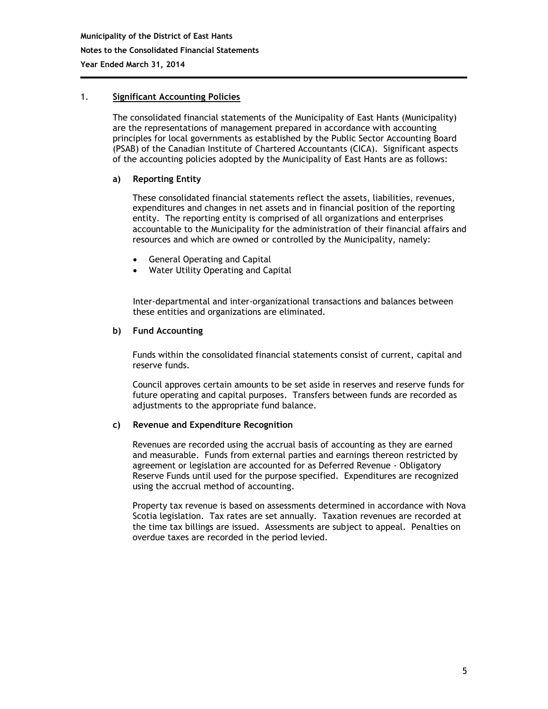#### 1. **Significant Accounting Policies**

The consolidated financial statements of the Municipality of East Hants (Municipality) are the representations of management prepared in accordance with accounting principles for local governments as established by the Public Sector Accounting Board (PSAB) of the Canadian Institute of Chartered Accountants (CICA). Significant aspects of the accounting policies adopted by the Municipality of East Hants are as follows:

#### **a) Reporting Entity**

These consolidated financial statements reflect the assets, liabilities, revenues, expenditures and changes in net assets and in financial position of the reporting entity. The reporting entity is comprised of all organizations and enterprises accountable to the Municipality for the administration of their financial affairs and resources and which are owned or controlled by the Municipality, namely:

- General Operating and Capital
- Water Utility Operating and Capital

Inter-departmental and inter-organizational transactions and balances between these entities and organizations are eliminated.

#### **b) Fund Accounting**

Funds within the consolidated financial statements consist of current, capital and reserve funds.

Council approves certain amounts to be set aside in reserves and reserve funds for future operating and capital purposes. Transfers between funds are recorded as adjustments to the appropriate fund balance.

#### **c) Revenue and Expenditure Recognition**

Revenues are recorded using the accrual basis of accounting as they are earned and measurable. Funds from external parties and earnings thereon restricted by agreement or legislation are accounted for as Deferred Revenue - Obligatory Reserve Funds until used for the purpose specified. Expenditures are recognized using the accrual method of accounting.

Property tax revenue is based on assessments determined in accordance with Nova Scotia legislation. Tax rates are set annually. Taxation revenues are recorded at the time tax billings are issued. Assessments are subject to appeal. Penalties on overdue taxes are recorded in the period levied.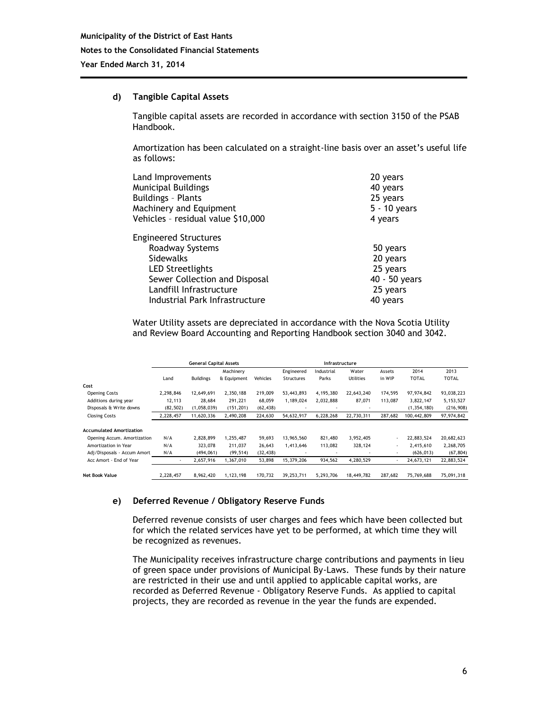#### **d) Tangible Capital Assets**

Tangible capital assets are recorded in accordance with section 3150 of the PSAB Handbook.

Amortization has been calculated on a straight-line basis over an asset's useful life as follows:

| Land Improvements                                                                                                                                                                     | 20 years                                                                  |
|---------------------------------------------------------------------------------------------------------------------------------------------------------------------------------------|---------------------------------------------------------------------------|
| Municipal Buildings                                                                                                                                                                   | 40 years                                                                  |
| <b>Buildings - Plants</b>                                                                                                                                                             | 25 years                                                                  |
| Machinery and Equipment                                                                                                                                                               | $5 - 10$ years                                                            |
| Vehicles - residual value \$10,000                                                                                                                                                    | 4 years                                                                   |
| <b>Engineered Structures</b><br>Roadway Systems<br>Sidewalks<br><b>LED Streetlights</b><br>Sewer Collection and Disposal<br>Landfill Infrastructure<br>Industrial Park Infrastructure | 50 years<br>20 years<br>25 years<br>40 - 50 years<br>25 years<br>40 years |

Water Utility assets are depreciated in accordance with the Nova Scotia Utility and Review Board Accounting and Reporting Handbook section 3040 and 3042.

|                                 |                          | <b>General Capital Assets</b> |             |           |                          | Infrastructure |                          |         |               |              |
|---------------------------------|--------------------------|-------------------------------|-------------|-----------|--------------------------|----------------|--------------------------|---------|---------------|--------------|
|                                 |                          |                               | Machinery   |           | Engineered               | Industrial     | Water                    | Assets  | 2014          | 2013         |
|                                 | Land                     | <b>Buildings</b>              | & Equipment | Vehicles  | <b>Structures</b>        | Parks          | <b>Utilities</b>         | in WIP  | <b>TOTAL</b>  | <b>TOTAL</b> |
| Cost                            |                          |                               |             |           |                          |                |                          |         |               |              |
| <b>Opening Costs</b>            | 2,298,846                | 12,649,691                    | 2,350,188   | 219,009   | 53,443,893               | 4,195,380      | 22,643,240               | 174,595 | 97.974.842    | 93,038,223   |
| Additions during year           | 12,113                   | 28.684                        | 291.221     | 68.059    | 1.189.024                | 2.032.888      | 87,071                   | 113.087 | 3.822.147     | 5,153,527    |
| Disposals & Write downs         | (82, 502)                | (1,058,039)                   | (151, 201)  | (62, 438) |                          | ٠              |                          |         | (1, 354, 180) | (216, 908)   |
| <b>Closing Costs</b>            | 2,228,457                | 11,620,336                    | 2,490,208   | 224,630   | 54,632,917               | 6,228,268      | 22.730.311               | 287.682 | 100.442.809   | 97,974,842   |
|                                 |                          |                               |             |           |                          |                |                          |         |               |              |
| <b>Accumulated Amortization</b> |                          |                               |             |           |                          |                |                          |         |               |              |
| Opening Accum. Amortization     | N/A                      | 2.828.899                     | 1,255,487   | 59.693    | 13.965.560               | 821,480        | 3,952,405                |         | 22.883.524    | 20,682,623   |
| Amortization in Year            | N/A                      | 323,078                       | 211,037     | 26,643    | 1,413,646                | 113,082        | 328,124                  | ٠       | 2,415,610     | 2,268,705    |
| Adj/Disposals - Accum Amort     | N/A                      | (494,061)                     | (99, 514)   | (32, 438) | $\overline{\phantom{a}}$ |                | $\overline{\phantom{a}}$ | $\sim$  | (626, 013)    | (67, 804)    |
| Acc Amort - End of Year         | $\overline{\phantom{a}}$ | 2,657,916                     | 1,367,010   | 53,898    | 15,379,206               | 934,562        | 4,280,529                |         | 24,673,121    | 22,883,524   |
|                                 |                          |                               |             |           |                          |                |                          |         |               |              |
| <b>Net Book Value</b>           | 2,228,457                | 8.962.420                     | 1,123,198   | 170.732   | 39.253.711               | 5.293.706      | 18,449,782               | 287.682 | 75.769.688    | 75,091,318   |

#### **e) Deferred Revenue / Obligatory Reserve Funds**

Deferred revenue consists of user charges and fees which have been collected but for which the related services have yet to be performed, at which time they will be recognized as revenues.

The Municipality receives infrastructure charge contributions and payments in lieu of green space under provisions of Municipal By-Laws. These funds by their nature are restricted in their use and until applied to applicable capital works, are recorded as Deferred Revenue - Obligatory Reserve Funds. As applied to capital projects, they are recorded as revenue in the year the funds are expended.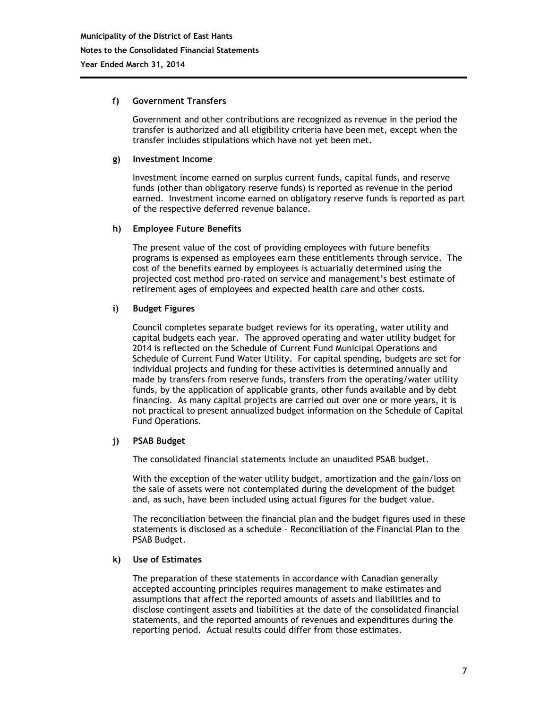#### **f) Government Transfers**

Government and other contributions are recognized as revenue in the period the transfer is authorized and all eligibility criteria have been met, except when the transfer includes stipulations which have not yet been met.

#### **g) Investment Income**

Investment income earned on surplus current funds, capital funds, and reserve funds (other than obligatory reserve funds) is reported as revenue in the period earned. Investment income earned on obligatory reserve funds is reported as part of the respective deferred revenue balance.

#### **h) Employee Future Benefits**

The present value of the cost of providing employees with future benefits programs is expensed as employees earn these entitlements through service. The cost of the benefits earned by employees is actuarially determined using the projected cost method pro-rated on service and management's best estimate of retirement ages of employees and expected health care and other costs.

#### **i) Budget Figures**

Council completes separate budget reviews for its operating, water utility and capital budgets each year. The approved operating and water utility budget for 2014 is reflected on the Schedule of Current Fund Municipal Operations and Schedule of Current Fund Water Utility. For capital spending, budgets are set for individual projects and funding for these activities is determined annually and made by transfers from reserve funds, transfers from the operating/water utility funds, by the application of applicable grants, other funds available and by debt financing. As many capital projects are carried out over one or more years, it is not practical to present annualized budget information on the Schedule of Capital Fund Operations.

#### **j) PSAB Budget**

The consolidated financial statements include an unaudited PSAB budget.

With the exception of the water utility budget, amortization and the gain/loss on the sale of assets were not contemplated during the development of the budget and, as such, have been included using actual figures for the budget value.

The reconciliation between the financial plan and the budget figures used in these statements is disclosed as a schedule – Reconciliation of the Financial Plan to the PSAB Budget.

#### **k) Use of Estimates**

The preparation of these statements in accordance with Canadian generally accepted accounting principles requires management to make estimates and assumptions that affect the reported amounts of assets and liabilities and to disclose contingent assets and liabilities at the date of the consolidated financial statements, and the reported amounts of revenues and expenditures during the reporting period. Actual results could differ from those estimates.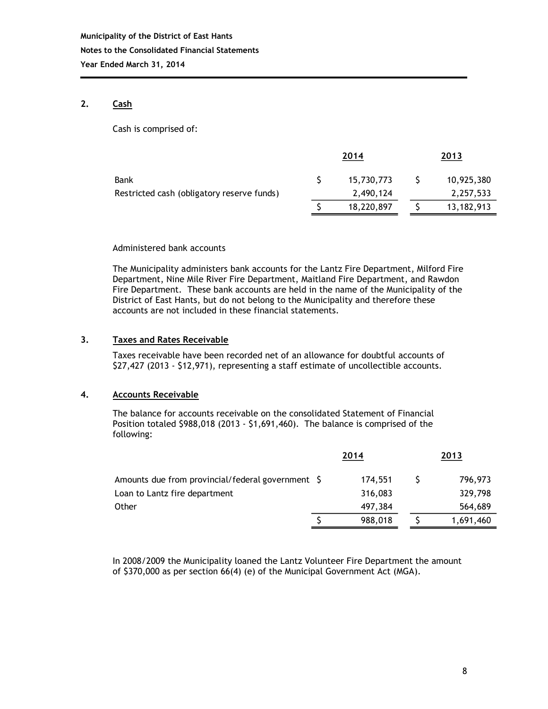#### **2. Cash**

Cash is comprised of:

| 2014 |            | 2013 |            |  |
|------|------------|------|------------|--|
|      | 15,730,773 |      | 10,925,380 |  |
|      | 2,490,124  |      | 2,257,533  |  |
|      | 18,220,897 |      | 13,182,913 |  |
|      |            |      |            |  |

#### Administered bank accounts

The Municipality administers bank accounts for the Lantz Fire Department, Milford Fire Department, Nine Mile River Fire Department, Maitland Fire Department, and Rawdon Fire Department. These bank accounts are held in the name of the Municipality of the District of East Hants, but do not belong to the Municipality and therefore these accounts are not included in these financial statements.

#### **3. Taxes and Rates Receivable**

Taxes receivable have been recorded net of an allowance for doubtful accounts of \$27,427 (2013 - \$12,971), representing a staff estimate of uncollectible accounts.

#### **4. Accounts Receivable**

The balance for accounts receivable on the consolidated Statement of Financial Position totaled \$988,018 (2013 - \$1,691,460). The balance is comprised of the following:

|                                                   |  | 2014    | 2013 |           |  |
|---------------------------------------------------|--|---------|------|-----------|--|
| Amounts due from provincial/federal government \$ |  | 174,551 |      | 796,973   |  |
| Loan to Lantz fire department                     |  | 316,083 |      | 329,798   |  |
| <b>Other</b>                                      |  | 497,384 |      | 564,689   |  |
|                                                   |  | 988,018 |      | 1,691,460 |  |

In 2008/2009 the Municipality loaned the Lantz Volunteer Fire Department the amount of \$370,000 as per section 66(4) (e) of the Municipal Government Act (MGA).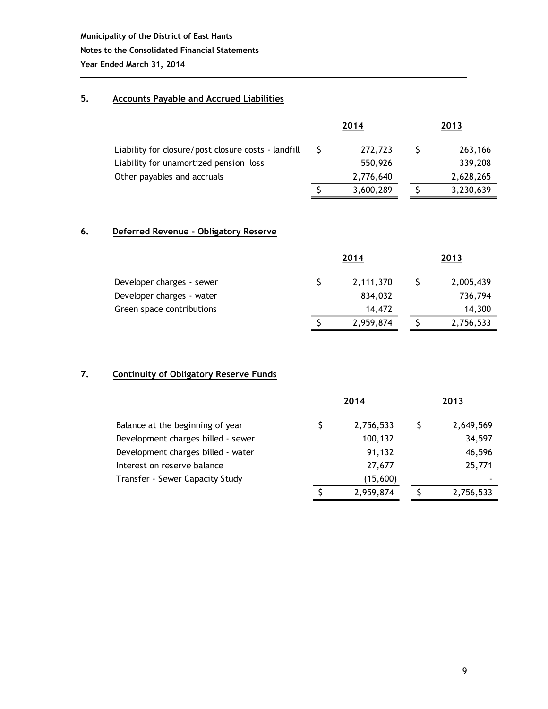#### **5. Accounts Payable and Accrued Liabilities**

|                                                     | 2014      | 2013 |           |  |
|-----------------------------------------------------|-----------|------|-----------|--|
| Liability for closure/post closure costs - landfill | 272,723   |      | 263,166   |  |
| Liability for unamortized pension loss              | 550,926   |      | 339,208   |  |
| Other payables and accruals                         | 2,776,640 |      | 2,628,265 |  |
|                                                     | 3,600,289 |      | 3,230,639 |  |

#### **6. Deferred Revenue – Obligatory Reserve**

|                           | 2014 |           |  | 2013      |  |  |
|---------------------------|------|-----------|--|-----------|--|--|
| Developer charges - sewer |      | 2,111,370 |  | 2,005,439 |  |  |
| Developer charges - water |      | 834,032   |  | 736,794   |  |  |
| Green space contributions |      | 14,472    |  | 14,300    |  |  |
|                           |      | 2,959,874 |  | 2,756,533 |  |  |

#### **7. Continuity of Obligatory Reserve Funds**

|                                    |   | 2014      | 2013 |           |  |
|------------------------------------|---|-----------|------|-----------|--|
| Balance at the beginning of year   | S | 2,756,533 |      | 2,649,569 |  |
| Development charges billed - sewer |   | 100,132   |      | 34,597    |  |
| Development charges billed - water |   | 91,132    |      | 46,596    |  |
| Interest on reserve balance        |   | 27,677    |      | 25,771    |  |
| Transfer - Sewer Capacity Study    |   | (15,600)  |      | ۰         |  |
|                                    |   | 2,959,874 |      | 2,756,533 |  |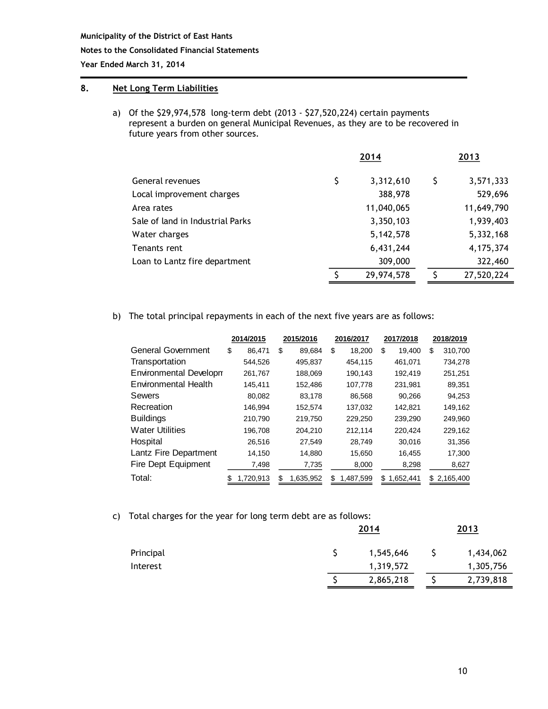#### **Notes to the Consolidated Financial Statements**

**Year Ended March 31, 2014**

#### **8. Net Long Term Liabilities**

a) Of the \$29,974,578 long-term debt (2013 - \$27,520,224) certain payments represent a burden on general Municipal Revenues, as they are to be recovered in future years from other sources.

|                                  | 2014             | 2013 |            |  |
|----------------------------------|------------------|------|------------|--|
| General revenues                 | \$<br>3,312,610  | S    | 3,571,333  |  |
| Local improvement charges        | 388,978          |      | 529,696    |  |
| Area rates                       | 11,040,065       |      | 11,649,790 |  |
| Sale of land in Industrial Parks | 3,350,103        |      | 1,939,403  |  |
| Water charges                    | 5,142,578        |      | 5,332,168  |  |
| Tenants rent                     | 6,431,244        |      | 4,175,374  |  |
| Loan to Lantz fire department    | 309,000          |      | 322,460    |  |
|                                  | \$<br>29,974,578 | S    | 27,520,224 |  |

b) The total principal repayments in each of the next five years are as follows:

|                               | 2014/2015    |    | 2015/2016 |    | 2016/2017 |    | 2017/2018 |     | 2018/2019 |
|-------------------------------|--------------|----|-----------|----|-----------|----|-----------|-----|-----------|
| General Government            | \$<br>86.471 | \$ | 89,684    | \$ | 18,200    | \$ | 19.400    | \$  | 310,700   |
| Transportation                | 544,526      |    | 495,837   |    | 454,115   |    | 461,071   |     | 734,278   |
| <b>Environmental Developm</b> | 261,767      |    | 188,069   |    | 190,143   |    | 192,419   |     | 251,251   |
| <b>Environmental Health</b>   | 145,411      |    | 152,486   |    | 107,778   |    | 231.981   |     | 89,351    |
| Sewers                        | 80,082       |    | 83,178    |    | 86,568    |    | 90,266    |     | 94,253    |
| Recreation                    | 146,994      |    | 152,574   |    | 137,032   |    | 142,821   |     | 149,162   |
| <b>Buildings</b>              | 210,790      |    | 219,750   |    | 229,250   |    | 239,290   |     | 249,960   |
| <b>Water Utilities</b>        | 196,708      |    | 204,210   |    | 212,114   |    | 220,424   |     | 229,162   |
| Hospital                      | 26,516       |    | 27,549    |    | 28,749    |    | 30,016    |     | 31,356    |
| Lantz Fire Department         | 14,150       |    | 14,880    |    | 15,650    |    | 16,455    |     | 17,300    |
| Fire Dept Equipment           | 7,498        |    | 7,735     |    | 8,000     |    | 8,298     |     | 8,627     |
| Total:                        | 1,720,913    | S  | 1.635.952 | S  | 1,487,599 | S  | 1.652.441 | \$. | 2,165,400 |

c) Total charges for the year for long term debt are as follows:

|           | 2014      |  |           |
|-----------|-----------|--|-----------|
| Principal | 1,545,646 |  | 1,434,062 |
| Interest  | 1,319,572 |  | 1,305,756 |
|           | 2,865,218 |  | 2,739,818 |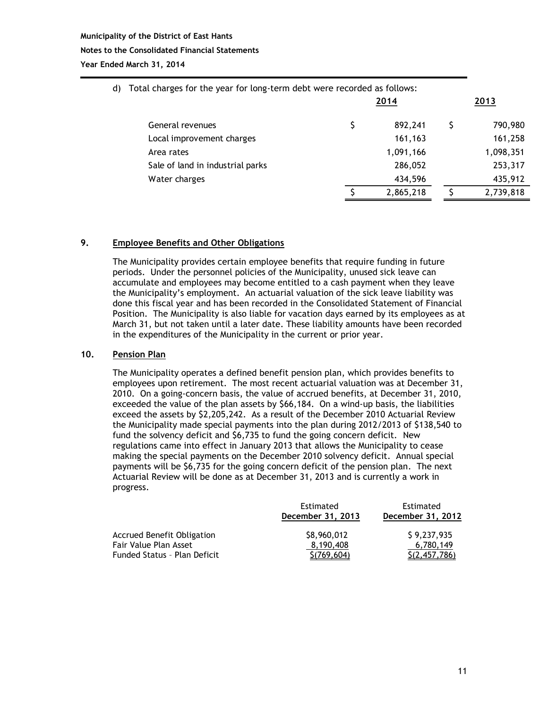#### **Municipality of the District of East Hants Notes to the Consolidated Financial Statements Year Ended March 31, 2014**

| d) | Total charges for the year for long-term debt were recorded as follows: |      |           |      |           |
|----|-------------------------------------------------------------------------|------|-----------|------|-----------|
|    |                                                                         | 2014 |           | 2013 |           |
|    | General revenues                                                        | \$   | 892,241   |      | 790,980   |
|    | Local improvement charges                                               |      | 161,163   |      | 161,258   |
|    | Area rates                                                              |      | 1,091,166 |      | 1,098,351 |
|    | Sale of land in industrial parks                                        |      | 286,052   |      | 253,317   |
|    | Water charges                                                           |      | 434,596   |      | 435,912   |
|    |                                                                         |      | 2,865,218 |      | 2,739,818 |

#### **9. Employee Benefits and Other Obligations**

The Municipality provides certain employee benefits that require funding in future periods. Under the personnel policies of the Municipality, unused sick leave can accumulate and employees may become entitled to a cash payment when they leave the Municipality's employment. An actuarial valuation of the sick leave liability was done this fiscal year and has been recorded in the Consolidated Statement of Financial Position. The Municipality is also liable for vacation days earned by its employees as at March 31, but not taken until a later date. These liability amounts have been recorded in the expenditures of the Municipality in the current or prior year.

#### **10. Pension Plan**

The Municipality operates a defined benefit pension plan, which provides benefits to employees upon retirement. The most recent actuarial valuation was at December 31, 2010. On a going-concern basis, the value of accrued benefits, at December 31, 2010, exceeded the value of the plan assets by \$66,184. On a wind-up basis, the liabilities exceed the assets by \$2,205,242. As a result of the December 2010 Actuarial Review the Municipality made special payments into the plan during 2012/2013 of \$138,540 to fund the solvency deficit and \$6,735 to fund the going concern deficit. New regulations came into effect in January 2013 that allows the Municipality to cease making the special payments on the December 2010 solvency deficit. Annual special payments will be \$6,735 for the going concern deficit of the pension plan. The next Actuarial Review will be done as at December 31, 2013 and is currently a work in progress.

|                                   | Estimated<br>December 31, 2013 | Estimated<br>December 31, 2012 |  |  |
|-----------------------------------|--------------------------------|--------------------------------|--|--|
| <b>Accrued Benefit Obligation</b> | \$8,960,012                    | \$9,237,935                    |  |  |
| Fair Value Plan Asset             | 8.190.408                      | 6,780,149                      |  |  |
| Funded Status - Plan Deficit      | S(769, 604)                    | S(2, 457, 786)                 |  |  |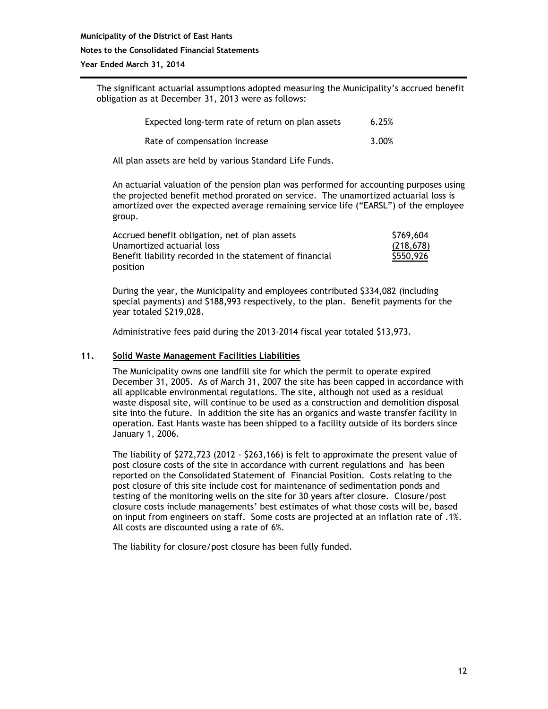#### **Municipality of the District of East Hants Notes to the Consolidated Financial Statements Year Ended March 31, 2014**

The significant actuarial assumptions adopted measuring the Municipality's accrued benefit obligation as at December 31, 2013 were as follows:

| Expected long-term rate of return on plan assets | 6.25% |
|--------------------------------------------------|-------|
| Rate of compensation increase                    | 3.00% |

All plan assets are held by various Standard Life Funds.

An actuarial valuation of the pension plan was performed for accounting purposes using the projected benefit method prorated on service. The unamortized actuarial loss is amortized over the expected average remaining service life ("EARSL") of the employee group.

| Accrued benefit obligation, net of plan assets           | \$769,604 |
|----------------------------------------------------------|-----------|
| Unamortized actuarial loss                               | (218.678) |
| Benefit liability recorded in the statement of financial | \$550,926 |
| position                                                 |           |

During the year, the Municipality and employees contributed \$334,082 (including special payments) and \$188,993 respectively, to the plan. Benefit payments for the year totaled \$219,028.

Administrative fees paid during the 2013-2014 fiscal year totaled \$13,973.

#### **11. Solid Waste Management Facilities Liabilities**

The Municipality owns one landfill site for which the permit to operate expired December 31, 2005. As of March 31, 2007 the site has been capped in accordance with all applicable environmental regulations. The site, although not used as a residual waste disposal site, will continue to be used as a construction and demolition disposal site into the future. In addition the site has an organics and waste transfer facility in operation. East Hants waste has been shipped to a facility outside of its borders since January 1, 2006.

The liability of \$272,723 (2012 - \$263,166) is felt to approximate the present value of post closure costs of the site in accordance with current regulations and has been reported on the Consolidated Statement of Financial Position. Costs relating to the post closure of this site include cost for maintenance of sedimentation ponds and testing of the monitoring wells on the site for 30 years after closure. Closure/post closure costs include managements' best estimates of what those costs will be, based on input from engineers on staff. Some costs are projected at an inflation rate of .1%. All costs are discounted using a rate of 6%.

The liability for closure/post closure has been fully funded.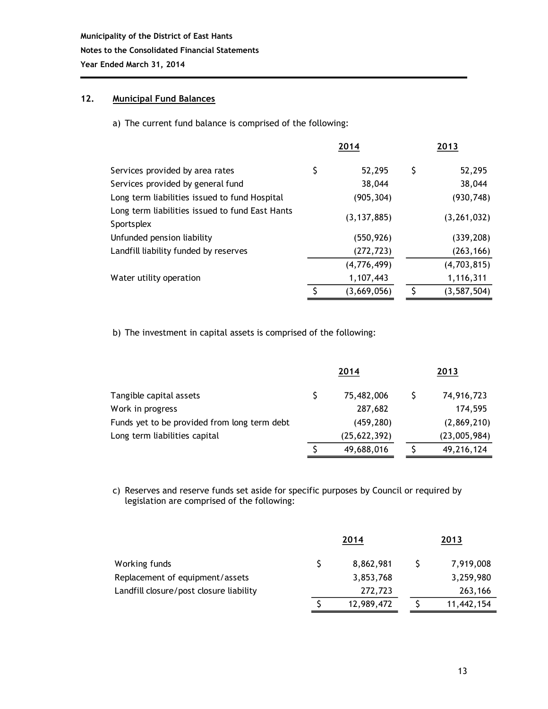#### **12. Municipal Fund Balances**

a) The current fund balance is comprised of the following:

|                                                               |    | 2014          | 2013 |               |  |
|---------------------------------------------------------------|----|---------------|------|---------------|--|
| Services provided by area rates                               | \$ | 52,295        | S    | 52,295        |  |
| Services provided by general fund                             |    | 38,044        |      | 38,044        |  |
| Long term liabilities issued to fund Hospital                 |    | (905, 304)    |      | (930, 748)    |  |
| Long term liabilities issued to fund East Hants<br>Sportsplex |    | (3, 137, 885) |      | (3, 261, 032) |  |
| Unfunded pension liability                                    |    | (550,926)     |      | (339, 208)    |  |
| Landfill liability funded by reserves                         |    | (272, 723)    |      | (263, 166)    |  |
|                                                               |    | (4,776,499)   |      | (4,703,815)   |  |
| Water utility operation                                       |    | 1,107,443     |      | 1,116,311     |  |
|                                                               | ς  | (3,669,056)   | ς    | (3, 587, 504) |  |

b) The investment in capital assets is comprised of the following:

|                                              |  | 2014           | 2013 |              |  |
|----------------------------------------------|--|----------------|------|--------------|--|
| Tangible capital assets                      |  | 75,482,006     |      | 74,916,723   |  |
| Work in progress                             |  | 287,682        |      | 174.595      |  |
| Funds yet to be provided from long term debt |  | (459, 280)     |      | (2,869,210)  |  |
| Long term liabilities capital                |  | (25, 622, 392) |      | (23,005,984) |  |
|                                              |  | 49,688,016     |      | 49,216,124   |  |

c) Reserves and reserve funds set aside for specific purposes by Council or required by legislation are comprised of the following:

| Working funds                           | 2014       | 2013 |            |  |
|-----------------------------------------|------------|------|------------|--|
|                                         | 8,862,981  |      | 7,919,008  |  |
| Replacement of equipment/assets         | 3,853,768  |      | 3,259,980  |  |
| Landfill closure/post closure liability | 272,723    |      | 263,166    |  |
|                                         | 12,989,472 |      | 11,442,154 |  |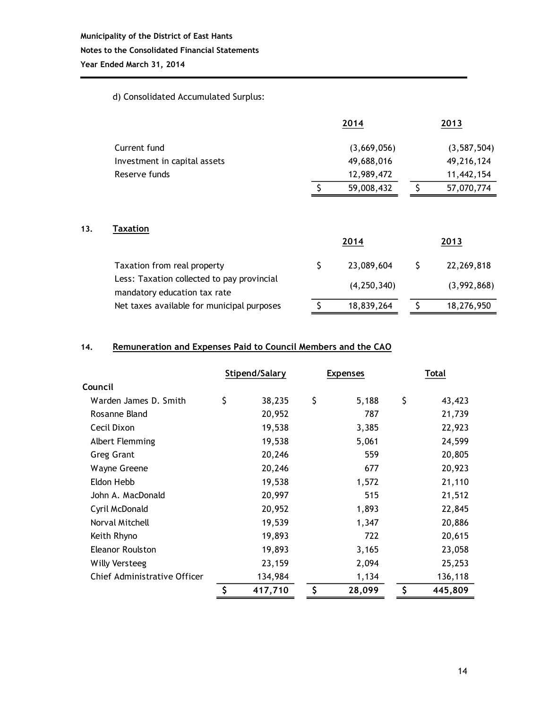## **Municipality of the District of East Hants Notes to the Consolidated Financial Statements**

**Year Ended March 31, 2014**

 $13.$ 

#### d) Consolidated Accumulated Surplus:

|                                                                            |    | 2014          |    | 2013          |
|----------------------------------------------------------------------------|----|---------------|----|---------------|
| Current fund                                                               |    | (3,669,056)   |    | (3, 587, 504) |
| Investment in capital assets                                               |    | 49,688,016    |    | 49,216,124    |
| Reserve funds                                                              |    | 12,989,472    |    | 11,442,154    |
|                                                                            | ς  | 59,008,432    | Ŝ  | 57,070,774    |
| <b>Taxation</b>                                                            |    | 2014          |    | 2013          |
| Taxation from real property                                                | \$ | 23,089,604    | \$ | 22,269,818    |
| Less: Taxation collected to pay provincial<br>mandatory education tax rate |    | (4, 250, 340) |    | (3,992,868)   |
| Net taxes available for municipal purposes                                 | Ś  | 18,839,264    | Ś  | 18,276,950    |

#### **14. Remuneration and Expenses Paid to Council Members and the CAO**

|                              | Stipend/Salary |         | <b>Expenses</b> |        | Total |         |
|------------------------------|----------------|---------|-----------------|--------|-------|---------|
| Council                      |                |         |                 |        |       |         |
| Warden James D. Smith        | \$             | 38,235  | \$              | 5,188  | \$    | 43,423  |
| Rosanne Bland                |                | 20,952  |                 | 787    |       | 21,739  |
| Cecil Dixon                  |                | 19,538  |                 | 3,385  |       | 22,923  |
| Albert Flemming              |                | 19,538  |                 | 5,061  |       | 24,599  |
| <b>Greg Grant</b>            |                | 20,246  |                 | 559    |       | 20,805  |
| Wayne Greene                 |                | 20,246  |                 | 677    |       | 20,923  |
| Eldon Hebb                   |                | 19,538  |                 | 1,572  |       | 21,110  |
| John A. MacDonald            |                | 20,997  |                 | 515    |       | 21,512  |
| Cyril McDonald               |                | 20,952  |                 | 1,893  |       | 22,845  |
| Norval Mitchell              |                | 19,539  |                 | 1,347  |       | 20,886  |
| Keith Rhyno                  |                | 19,893  |                 | 722    |       | 20,615  |
| <b>Eleanor Roulston</b>      |                | 19,893  |                 | 3,165  |       | 23,058  |
| <b>Willy Versteeg</b>        |                | 23,159  |                 | 2,094  |       | 25,253  |
| Chief Administrative Officer |                | 134,984 |                 | 1,134  |       | 136,118 |
|                              | \$             | 417,710 | \$              | 28,099 | \$    | 445,809 |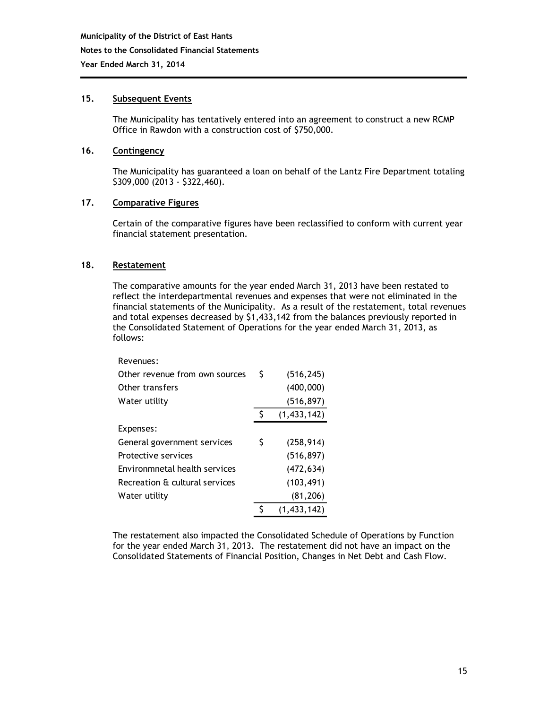#### **15. Subsequent Events**

The Municipality has tentatively entered into an agreement to construct a new RCMP Office in Rawdon with a construction cost of \$750,000.

#### **16. Contingency**

The Municipality has guaranteed a loan on behalf of the Lantz Fire Department totaling \$309,000 (2013 - \$322,460).

#### **17. Comparative Figures**

Certain of the comparative figures have been reclassified to conform with current year financial statement presentation.

#### **18. Restatement**

The comparative amounts for the year ended March 31, 2013 have been restated to reflect the interdepartmental revenues and expenses that were not eliminated in the financial statements of the Municipality. As a result of the restatement, total revenues and total expenses decreased by \$1,433,142 from the balances previously reported in the Consolidated Statement of Operations for the year ended March 31, 2013, as follows:

| Revenues:                      |    |               |
|--------------------------------|----|---------------|
| Other revenue from own sources | \$ | (516, 245)    |
| Other transfers                |    | (400,000)     |
| Water utility                  |    | (516, 897)    |
|                                |    | (1, 433, 142) |
| Expenses:                      |    |               |
| General government services    | S  | (258, 914)    |
| Protective services            |    | (516, 897)    |
| Environmnetal health services  |    | (472, 634)    |
| Recreation & cultural services |    | (103, 491)    |
| Water utility                  |    | (81, 206)     |
|                                | S  | (1, 433, 142) |

The restatement also impacted the Consolidated Schedule of Operations by Function for the year ended March 31, 2013. The restatement did not have an impact on the Consolidated Statements of Financial Position, Changes in Net Debt and Cash Flow.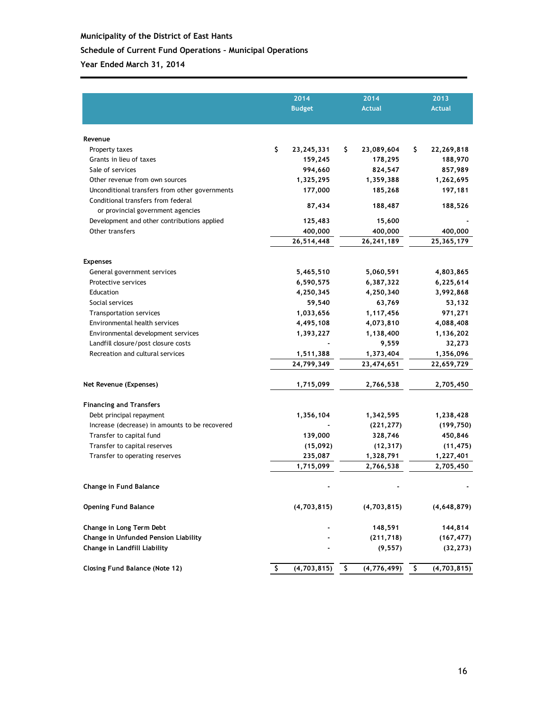#### **Schedule of Current Fund Operations – Municipal Operations**

|                                                | 2014 |               |    | 2014          |     | 2013          |
|------------------------------------------------|------|---------------|----|---------------|-----|---------------|
|                                                |      | <b>Budget</b> |    | <b>Actual</b> |     | <b>Actual</b> |
|                                                |      |               |    |               |     |               |
| Revenue                                        |      |               |    |               |     |               |
| Property taxes                                 | \$   | 23, 245, 331  | Ş. | 23,089,604    | \$. | 22,269,818    |
| Grants in lieu of taxes                        |      | 159,245       |    | 178,295       |     | 188,970       |
| Sale of services                               |      | 994,660       |    | 824,547       |     | 857,989       |
| Other revenue from own sources                 |      | 1,325,295     |    | 1,359,388     |     | 1,262,695     |
| Unconditional transfers from other governments |      | 177,000       |    | 185,268       |     | 197,181       |
| Conditional transfers from federal             |      |               |    |               |     |               |
| or provincial government agencies              |      | 87,434        |    | 188,487       |     | 188,526       |
| Development and other contributions applied    |      | 125,483       |    | 15,600        |     |               |
| Other transfers                                |      | 400,000       |    | 400,000       |     | 400,000       |
|                                                |      | 26,514,448    |    | 26,241,189    |     | 25,365,179    |
| <b>Expenses</b>                                |      |               |    |               |     |               |
| General government services                    |      | 5,465,510     |    | 5,060,591     |     | 4,803,865     |
| Protective services                            |      | 6,590,575     |    | 6,387,322     |     | 6,225,614     |
| Education                                      |      | 4,250,345     |    | 4,250,340     |     | 3,992,868     |
| Social services                                |      | 59,540        |    | 63,769        |     | 53,132        |
| <b>Transportation services</b>                 |      | 1,033,656     |    | 1,117,456     |     | 971,271       |
| Environmental health services                  |      | 4,495,108     |    | 4,073,810     |     | 4,088,408     |
| Environmental development services             |      | 1,393,227     |    | 1,138,400     |     | 1,136,202     |
| Landfill closure/post closure costs            |      |               |    | 9,559         |     | 32,273        |
| Recreation and cultural services               |      | 1,511,388     |    | 1,373,404     |     | 1,356,096     |
|                                                |      | 24,799,349    |    | 23,474,651    |     | 22,659,729    |
| Net Revenue (Expenses)                         |      | 1,715,099     |    | 2,766,538     |     | 2,705,450     |
| <b>Financing and Transfers</b>                 |      |               |    |               |     |               |
| Debt principal repayment                       |      | 1,356,104     |    | 1,342,595     |     | 1,238,428     |
| Increase (decrease) in amounts to be recovered |      |               |    | (221, 277)    |     | (199, 750)    |
| Transfer to capital fund                       |      | 139,000       |    | 328,746       |     | 450,846       |
| Transfer to capital reserves                   |      | (15,092)      |    | (12, 317)     |     | (11, 475)     |
| Transfer to operating reserves                 |      | 235,087       |    | 1,328,791     |     | 1,227,401     |
|                                                |      | 1,715,099     |    | 2,766,538     |     | 2,705,450     |
| Change in Fund Balance                         |      |               |    |               |     |               |
| <b>Opening Fund Balance</b>                    |      | (4, 703, 815) |    | (4,703,815)   |     | (4,648,879)   |
| Change in Long Term Debt                       |      |               |    | 148,591       |     | 144,814       |
| Change in Unfunded Pension Liability           |      |               |    | (211, 718)    |     | (167, 477)    |
| Change in Landfill Liability                   |      |               |    | (9, 557)      |     | (32, 273)     |
| <b>Closing Fund Balance (Note 12)</b>          | S.   | (4, 703, 815) | \$ | (4, 776, 499) | -\$ | (4,703,815)   |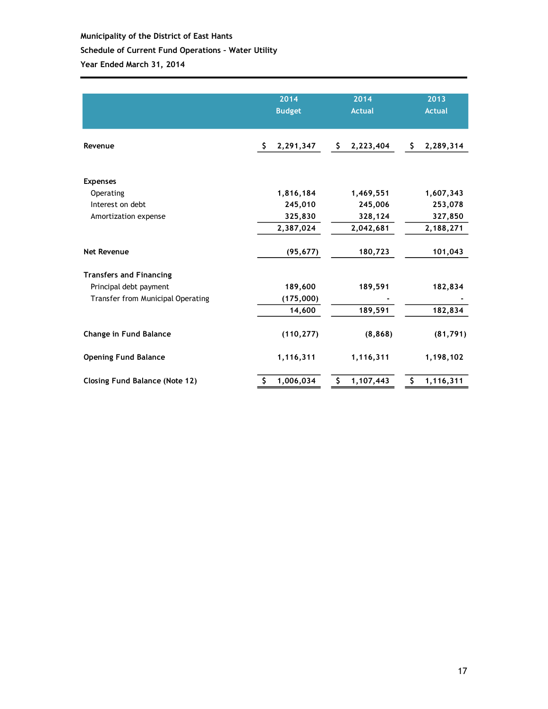# **Municipality of the District of East Hants Schedule of Current Fund Operations – Water Utility**

|                                       | 2014<br><b>Budget</b> | 2014<br><b>Actual</b> | 2013<br><b>Actual</b> |  |
|---------------------------------------|-----------------------|-----------------------|-----------------------|--|
| Revenue                               | Ŝ.<br>2,291,347       | 2,223,404<br>S.       | \$.<br>2,289,314      |  |
| <b>Expenses</b>                       |                       |                       |                       |  |
| Operating                             | 1,816,184             | 1,469,551             | 1,607,343             |  |
| Interest on debt                      | 245,010               | 245,006               | 253,078               |  |
| Amortization expense                  | 325,830               | 328,124               | 327,850               |  |
|                                       | 2,387,024             | 2,042,681             | 2,188,271             |  |
| <b>Net Revenue</b>                    | (95, 677)             | 180,723               | 101,043               |  |
| <b>Transfers and Financing</b>        |                       |                       |                       |  |
| Principal debt payment                | 189,600               | 189,591               | 182,834               |  |
| Transfer from Municipal Operating     | (175,000)             |                       |                       |  |
|                                       | 14,600                | 189,591               | 182,834               |  |
| Change in Fund Balance                | (110, 277)            | (8, 868)              | (81, 791)             |  |
| <b>Opening Fund Balance</b>           | 1,116,311             | 1,116,311             | 1,198,102             |  |
| <b>Closing Fund Balance (Note 12)</b> | \$<br>1,006,034       | \$<br>1,107,443       | \$<br>1,116,311       |  |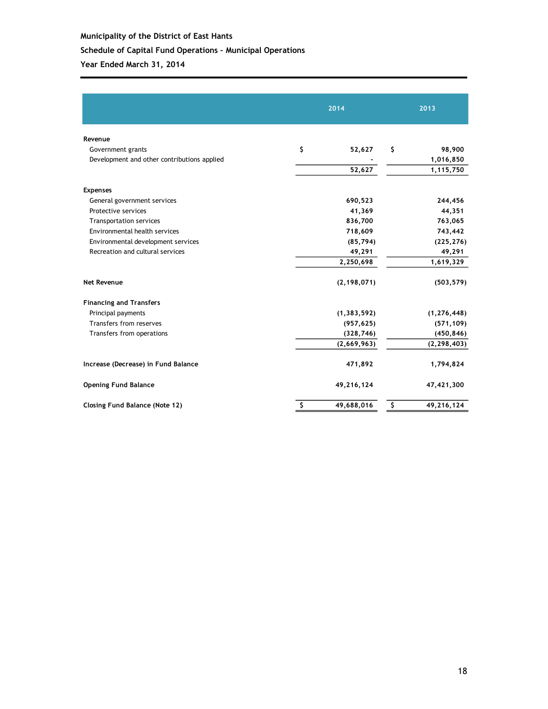#### **Schedule of Capital Fund Operations – Municipal Operations**

|                                             | 2014 |                  | 2013          |  |  |
|---------------------------------------------|------|------------------|---------------|--|--|
| Revenue                                     |      |                  |               |  |  |
| Government grants                           | \$   | \$<br>52,627     | 98,900        |  |  |
| Development and other contributions applied |      |                  | 1,016,850     |  |  |
|                                             |      | 52,627           | 1,115,750     |  |  |
| <b>Expenses</b>                             |      |                  |               |  |  |
| General government services                 |      | 690,523          | 244,456       |  |  |
| Protective services                         |      | 41,369           | 44,351        |  |  |
| <b>Transportation services</b>              |      | 836,700          | 763,065       |  |  |
| Environmental health services               |      | 718,609          | 743,442       |  |  |
| Environmental development services          |      | (85, 794)        | (225, 276)    |  |  |
| Recreation and cultural services            |      | 49,291           | 49,291        |  |  |
|                                             |      | 2,250,698        | 1,619,329     |  |  |
| <b>Net Revenue</b>                          |      | (2, 198, 071)    | (503, 579)    |  |  |
| <b>Financing and Transfers</b>              |      |                  |               |  |  |
| Principal payments                          |      | (1, 383, 592)    | (1, 276, 448) |  |  |
| Transfers from reserves                     |      | (957, 625)       | (571, 109)    |  |  |
| Transfers from operations                   |      | (328, 746)       | (450, 846)    |  |  |
|                                             |      | (2,669,963)      | (2, 298, 403) |  |  |
| Increase (Decrease) in Fund Balance         |      | 471,892          | 1,794,824     |  |  |
| <b>Opening Fund Balance</b>                 |      | 49,216,124       | 47,421,300    |  |  |
| <b>Closing Fund Balance (Note 12)</b>       | \$   | \$<br>49,688,016 | 49,216,124    |  |  |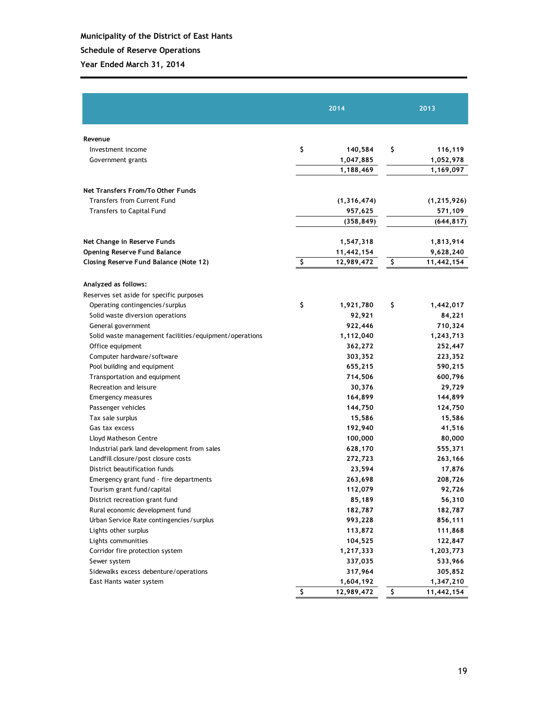#### **Schedule of Reserve Operations**

|                                                        | 2014             | 2013             |
|--------------------------------------------------------|------------------|------------------|
| Revenue                                                |                  |                  |
| Investment income                                      | \$<br>140,584    | \$<br>116,119    |
| Government grants                                      | 1,047,885        | 1,052,978        |
|                                                        | 1,188,469        | 1,169,097        |
| Net Transfers From/To Other Funds                      |                  |                  |
| <b>Transfers from Current Fund</b>                     | (1, 316, 474)    | (1, 215, 926)    |
| <b>Transfers to Capital Fund</b>                       | 957,625          | 571,109          |
|                                                        | (358,849)        | (644, 817)       |
|                                                        |                  |                  |
| Net Change in Reserve Funds                            | 1,547,318        | 1,813,914        |
| <b>Opening Reserve Fund Balance</b>                    | 11,442,154       | 9,628,240        |
| Closing Reserve Fund Balance (Note 12)                 | \$<br>12,989,472 | \$<br>11,442,154 |
| Analyzed as follows:                                   |                  |                  |
| Reserves set aside for specific purposes               |                  |                  |
| Operating contingencies/surplus                        | \$<br>1,921,780  | \$<br>1,442,017  |
| Solid waste diversion operations                       | 92,921           | 84,221           |
| General government                                     | 922,446          | 710,324          |
| Solid waste management facilities/equipment/operations | 1,112,040        | 1,243,713        |
| Office equipment                                       | 362,272          | 252,447          |
| Computer hardware/software                             | 303,352          | 223,352          |
| Pool building and equipment                            | 655,215          | 590,215          |
| Transportation and equipment                           | 714,506          | 600,796          |
| Recreation and leisure                                 | 30,376           | 29,729           |
| <b>Emergency measures</b>                              | 164,899          | 144,899          |
| Passenger vehicles                                     | 144,750          | 124,750          |
| Tax sale surplus                                       | 15,586           | 15,586           |
| Gas tax excess                                         | 192,940          | 41,516           |
| Lloyd Matheson Centre                                  | 100,000          | 80,000           |
| Industrial park land development from sales            | 628,170          | 555,371          |
| Landfill closure/post closure costs                    | 272,723          | 263,166          |
| District beautification funds                          | 23,594           | 17,876           |
| Emergency grant fund - fire departments                | 263,698          | 208,726          |
| Tourism grant fund/capital                             | 112,079          | 92,726           |
| District recreation grant fund                         | 85,189           | 56,310           |
| Rural economic development fund                        | 182,787          | 182,787          |
| Urban Service Rate contingencies/surplus               | 993,228          | 856,111          |
| Lights other surplus                                   | 113,872          | 111,868          |
| Lights communities                                     | 104,525          | 122,847          |
| Corridor fire protection system                        | 1,217,333        | 1,203,773        |
| Sewer system                                           | 337,035          | 533,966          |
| Sidewalks excess debenture/operations                  | 317,964          | 305,852          |
| East Hants water system                                | 1,604,192        | 1,347,210        |
|                                                        | \$<br>12,989,472 | \$<br>11,442,154 |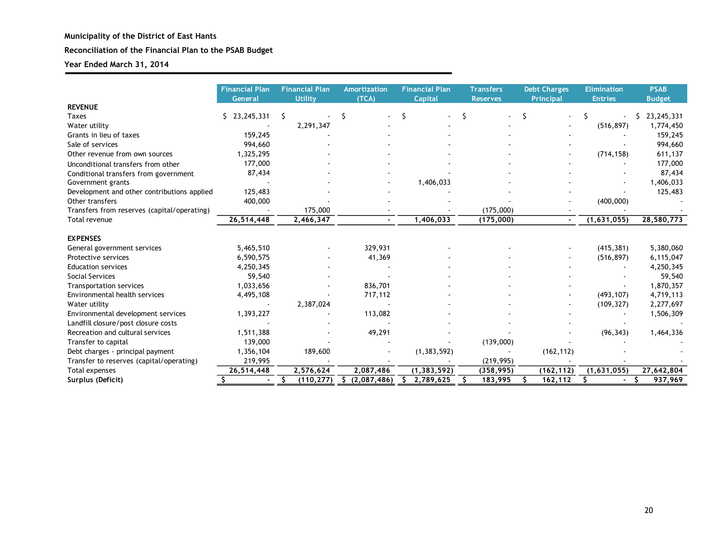#### **Reconciliation of the Financial Plan to the PSAB Budget**

|                                             | <b>Financial Plan</b><br>General | <b>Financial Plan</b><br>Utility | Amortization<br>(TCA) | <b>Financial Plan</b><br>Capital | <b>Transfers</b><br><b>Reserves</b> | <b>Debt Charges</b><br><b>Principal</b> | <b>Elimination</b><br><b>Entries</b> | <b>PSAB</b><br><b>Budget</b> |
|---------------------------------------------|----------------------------------|----------------------------------|-----------------------|----------------------------------|-------------------------------------|-----------------------------------------|--------------------------------------|------------------------------|
| <b>REVENUE</b>                              |                                  |                                  |                       |                                  |                                     |                                         |                                      |                              |
| <b>Taxes</b>                                | 23,245,331<br>S.                 | -S                               | \$                    | S                                | \$                                  | Ś                                       |                                      | 23, 245, 331<br>S.           |
| Water utility                               |                                  | 2,291,347                        |                       |                                  |                                     |                                         | (516, 897)                           | 1,774,450                    |
| Grants in lieu of taxes                     | 159,245                          |                                  |                       |                                  |                                     |                                         |                                      | 159,245                      |
| Sale of services                            | 994,660                          |                                  |                       |                                  |                                     |                                         |                                      | 994,660                      |
| Other revenue from own sources              | 1,325,295                        |                                  |                       |                                  |                                     |                                         | (714, 158)                           | 611,137                      |
| Unconditional transfers from other          | 177,000                          |                                  |                       |                                  |                                     |                                         |                                      | 177,000                      |
| Conditional transfers from government       | 87,434                           |                                  |                       |                                  |                                     |                                         |                                      | 87,434                       |
| Government grants                           |                                  |                                  |                       | 1,406,033                        |                                     |                                         |                                      | 1,406,033                    |
| Development and other contributions applied | 125,483                          |                                  |                       |                                  |                                     |                                         |                                      | 125,483                      |
| Other transfers                             | 400,000                          |                                  |                       |                                  |                                     |                                         | (400,000)                            |                              |
| Transfers from reserves (capital/operating) |                                  | 175,000                          |                       |                                  | (175,000)                           |                                         |                                      |                              |
| Total revenue                               | 26,514,448                       | 2,466,347                        |                       | 1,406,033                        | (175,000)                           |                                         | (1,631,055)                          | 28,580,773                   |
|                                             |                                  |                                  |                       |                                  |                                     |                                         |                                      |                              |
| <b>EXPENSES</b>                             |                                  |                                  |                       |                                  |                                     |                                         |                                      |                              |
| General government services                 | 5,465,510                        |                                  | 329,931               |                                  |                                     |                                         | (415, 381)                           | 5,380,060                    |
| Protective services                         | 6,590,575                        |                                  | 41,369                |                                  |                                     |                                         | (516, 897)                           | 6,115,047                    |
| <b>Education services</b>                   | 4,250,345                        |                                  |                       |                                  |                                     |                                         |                                      | 4,250,345                    |
| Social Services                             | 59,540                           |                                  |                       |                                  |                                     |                                         |                                      | 59,540                       |
| <b>Transportation services</b>              | 1,033,656                        |                                  | 836,701               |                                  |                                     |                                         |                                      | 1,870,357                    |
| Environmental health services               | 4,495,108                        |                                  | 717,112               |                                  |                                     |                                         | (493, 107)                           | 4,719,113                    |
| Water utility                               |                                  | 2,387,024                        |                       |                                  |                                     |                                         | (109, 327)                           | 2,277,697                    |
| Environmental development services          | 1,393,227                        |                                  | 113,082               |                                  |                                     |                                         |                                      | 1,506,309                    |
| Landfill closure/post closure costs         |                                  |                                  |                       |                                  |                                     |                                         |                                      |                              |
| Recreation and cultural services            | 1,511,388                        |                                  | 49,291                |                                  |                                     |                                         | (96, 343)                            | 1,464,336                    |
| Transfer to capital                         | 139,000                          |                                  |                       |                                  | (139,000)                           |                                         |                                      |                              |
| Debt charges - principal payment            | 1,356,104                        | 189,600                          |                       | (1, 383, 592)                    |                                     | (162, 112)                              |                                      |                              |
| Transfer to reserves (capital/operating)    | 219,995                          |                                  |                       |                                  | (219, 995)                          |                                         |                                      |                              |
| Total expenses                              | 26,514,448                       | 2,576,624                        | 2,087,486             | (1, 383, 592)                    | (358, 995)                          | (162, 112)                              | (1,631,055)                          | 27,642,804                   |
| Surplus (Deficit)                           | Š.                               | (110, 277)<br>s                  | Ŝ.<br>(2,087,486)     | 2,789,625                        | 183,995                             | 162,112                                 |                                      | 937,969                      |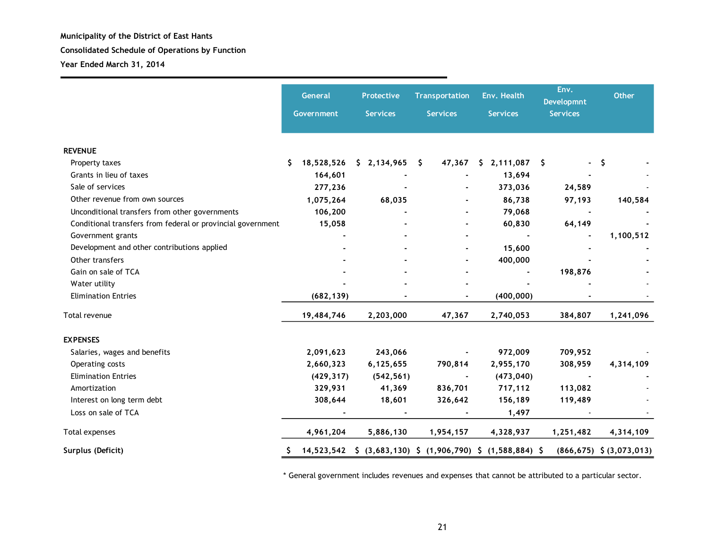**Year Ended March 31, 2014**

|                                                             | General<br>Government | <b>Protective</b><br><b>Services</b> | <b>Transportation</b><br><b>Services</b>                   | Env. Health<br><b>Services</b> | Env.<br><b>Developmnt</b><br><b>Services</b> | <b>Other</b>                    |
|-------------------------------------------------------------|-----------------------|--------------------------------------|------------------------------------------------------------|--------------------------------|----------------------------------------------|---------------------------------|
| <b>REVENUE</b>                                              |                       |                                      |                                                            |                                |                                              |                                 |
| Property taxes                                              | 18,528,526<br>S       | \$2,134,965                          | 47,367<br>- S                                              | \$2,111,087                    |                                              | -\$                             |
| Grants in lieu of taxes                                     | 164,601               |                                      |                                                            | 13,694                         |                                              |                                 |
| Sale of services                                            | 277,236               |                                      |                                                            | 373,036                        | 24,589                                       |                                 |
| Other revenue from own sources                              | 1,075,264             | 68,035                               |                                                            | 86,738                         | 97,193                                       | 140,584                         |
| Unconditional transfers from other governments              | 106,200               |                                      |                                                            | 79,068                         |                                              |                                 |
| Conditional transfers from federal or provincial government | 15,058                |                                      |                                                            | 60,830                         | 64,149                                       |                                 |
| Government grants                                           |                       |                                      |                                                            |                                |                                              | 1,100,512                       |
| Development and other contributions applied                 |                       |                                      |                                                            | 15,600                         |                                              |                                 |
| Other transfers                                             |                       |                                      |                                                            | 400,000                        |                                              |                                 |
| Gain on sale of TCA                                         |                       |                                      |                                                            |                                | 198,876                                      |                                 |
| Water utility                                               |                       |                                      |                                                            |                                |                                              |                                 |
| <b>Elimination Entries</b>                                  | (682, 139)            |                                      |                                                            | (400, 000)                     |                                              |                                 |
| Total revenue                                               | 19,484,746            | 2,203,000                            | 47,367                                                     | 2,740,053                      | 384,807                                      | 1,241,096                       |
| <b>EXPENSES</b>                                             |                       |                                      |                                                            |                                |                                              |                                 |
| Salaries, wages and benefits                                | 2,091,623             | 243,066                              |                                                            | 972,009                        | 709,952                                      |                                 |
| Operating costs                                             | 2,660,323             | 6,125,655                            | 790,814                                                    | 2,955,170                      | 308,959                                      | 4,314,109                       |
| <b>Elimination Entries</b>                                  | (429, 317)            | (542, 561)                           |                                                            | (473, 040)                     | $\blacksquare$                               |                                 |
| Amortization                                                | 329,931               | 41,369                               | 836,701                                                    | 717,112                        | 113,082                                      |                                 |
| Interest on long term debt                                  | 308,644               | 18,601                               | 326,642                                                    | 156,189                        | 119,489                                      |                                 |
| Loss on sale of TCA                                         |                       |                                      |                                                            | 1,497                          |                                              |                                 |
| Total expenses                                              | 4,961,204             | 5,886,130                            | 1,954,157                                                  | 4,328,937                      | 1,251,482                                    | 4,314,109                       |
| Surplus (Deficit)                                           |                       |                                      | 14,523,542 \$ (3,683,130) \$ (1,906,790) \$ (1,588,884) \$ |                                |                                              | $(866, 675)$ \$ $(3, 073, 013)$ |

\* General government includes revenues and expenses that cannot be attributed to a particular sector.